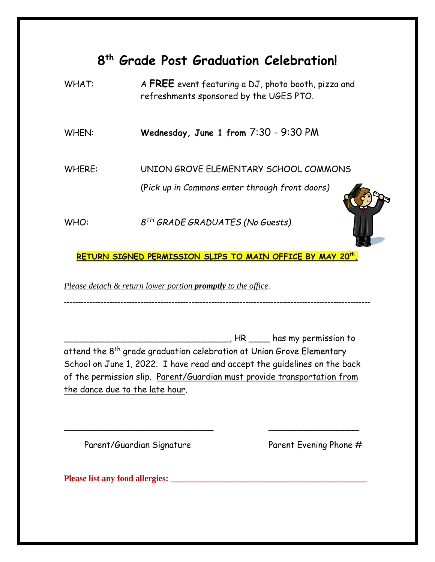## **8 th Grade Post Graduation Celebration!**

WHAT: A FREE event featuring a DJ, photo booth, pizza and refreshments sponsored by the UGES PTO.

WHEN: **Wednesday, June 1 from** 7:30 - 9:30 PM

WHERE: UNION GROVE ELEMENTARY SCHOOL COMMONS

(P*ick up in Commons enter through front doors)*

WHO: *8 TH GRADE GRADUATES (No Guests)*



**RETURN SIGNED PERMISSION SLIPS TO MAIN OFFICE BY MAY 20th .** 

*Please detach & return lower portion promptly to the office.*

------------------------------------------------------------------------------------------------------------

\_\_\_\_\_\_\_\_\_\_\_\_\_\_\_\_\_\_\_\_\_\_\_\_\_\_\_\_\_\_\_, HR \_\_\_\_ has my permission to attend the 8<sup>th</sup> grade graduation celebration at Union Grove Elementary School on June 1, 2022. I have read and accept the guidelines on the back of the permission slip. Parent/Guardian must provide transportation from the dance due to the late hour.

\_\_\_\_\_\_\_\_\_\_\_\_\_\_\_\_\_\_\_\_\_\_\_\_\_\_\_\_ \_\_\_\_\_\_\_\_\_\_\_\_\_\_\_\_\_

Parent/Guardian Signature Parent Evening Phone #

**Please list any food allergies: \_\_\_\_\_\_\_\_\_\_\_\_\_\_\_\_\_\_\_\_\_\_\_\_\_\_\_\_\_\_\_\_\_\_\_\_\_\_\_\_\_\_\_\_\_\_**